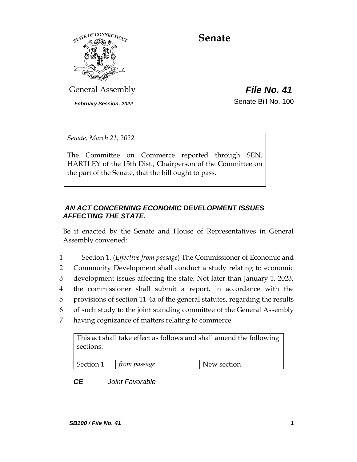

# **Senate**

General Assembly *File No. 41*

*February Session, 2022* Senate Bill No. 100

*Senate, March 21, 2022*

The Committee on Commerce reported through SEN. HARTLEY of the 15th Dist., Chairperson of the Committee on the part of the Senate, that the bill ought to pass.

## *AN ACT CONCERNING ECONOMIC DEVELOPMENT ISSUES AFFECTING THE STATE.*

Be it enacted by the Senate and House of Representatives in General Assembly convened:

- 1 Section 1. (*Effective from passage*) The Commissioner of Economic and
- 2 Community Development shall conduct a study relating to economic
- 3 development issues affecting the state. Not later than January 1, 2023,
- 4 the commissioner shall submit a report, in accordance with the
- 5 provisions of section 11-4a of the general statutes, regarding the results
- 6 of such study to the joint standing committee of the General Assembly
- 7 having cognizance of matters relating to commerce.

This act shall take effect as follows and shall amend the following sections:

| Section 1 | from passage | New section |
|-----------|--------------|-------------|

*CE Joint Favorable*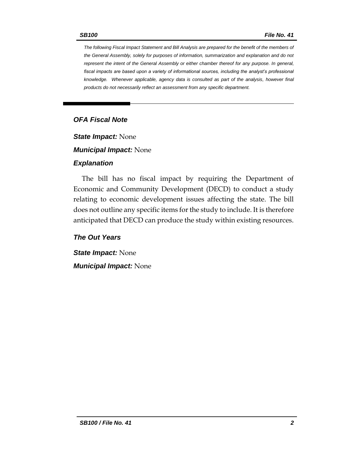*The following Fiscal Impact Statement and Bill Analysis are prepared for the benefit of the members of the General Assembly, solely for purposes of information, summarization and explanation and do not represent the intent of the General Assembly or either chamber thereof for any purpose. In general, fiscal impacts are based upon a variety of informational sources, including the analyst's professional knowledge. Whenever applicable, agency data is consulted as part of the analysis, however final products do not necessarily reflect an assessment from any specific department.*

## *OFA Fiscal Note*

*State Impact:* None

*Municipal Impact:* None

#### *Explanation*

The bill has no fiscal impact by requiring the Department of Economic and Community Development (DECD) to conduct a study relating to economic development issues affecting the state. The bill does not outline any specific items for the study to include. It is therefore anticipated that DECD can produce the study within existing resources.

*The Out Years*

*State Impact:* None *Municipal Impact:* None